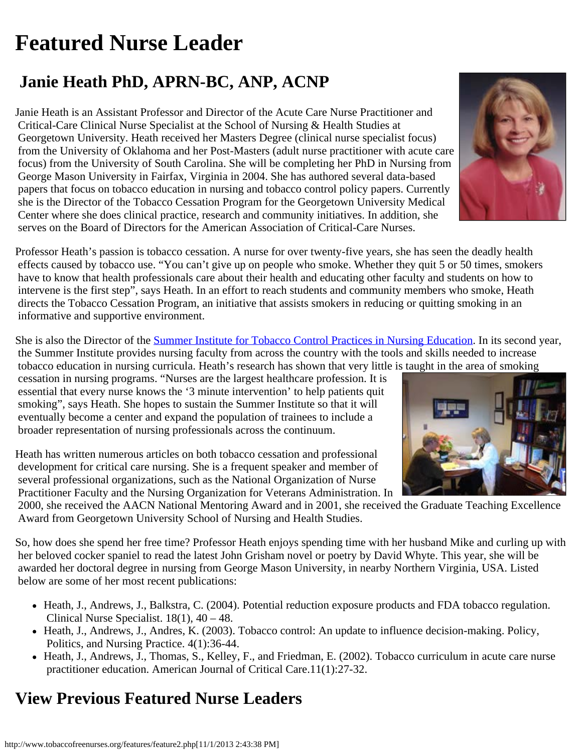## <span id="page-0-0"></span>**Featured Nurse Leader**

## **Janie Heath PhD, APRN-BC, ANP, ACNP**

Janie Heath is an Assistant Professor and Director of the Acute Care Nurse Practitioner and Critical-Care Clinical Nurse Specialist at the School of Nursing & Health Studies at Georgetown University. Heath received her Masters Degree (clinical nurse specialist focus) from the University of Oklahoma and her Post-Masters (adult nurse practitioner with acute care focus) from the University of South Carolina. She will be completing her PhD in Nursing from George Mason University in Fairfax, Virginia in 2004. She has authored several data-based papers that focus on tobacco education in nursing and tobacco control policy papers. Currently she is the Director of the Tobacco Cessation Program for the Georgetown University Medical Center where she does clinical practice, research and community initiatives. In addition, she serves on the Board of Directors for the American Association of Critical-Care Nurses.



Professor Heath's passion is tobacco cessation. A nurse for over twenty-five years, she has seen the deadly health effects caused by tobacco use. "You can't give up on people who smoke. Whether they quit 5 or 50 times, smokers have to know that health professionals care about their health and educating other faculty and students on how to intervene is the first step", says Heath. In an effort to reach students and community members who smoke, Heath directs the Tobacco Cessation Program, an initiative that assists smokers in reducing or quitting smoking in an informative and supportive environment.

She is also the Director of the [Summer Institute for Tobacco Control Practices in Nursing Education](http://snhs.georgetown.edu/content.cfm?objectID=1567). In its second year, the Summer Institute provides nursing faculty from across the country with the tools and skills needed to increase tobacco education in nursing curricula. Heath's research has shown that very little is taught in the area of smoking

 cessation in nursing programs. "Nurses are the largest healthcare profession. It is essential that every nurse knows the '3 minute intervention' to help patients quit smoking", says Heath. She hopes to sustain the Summer Institute so that it will eventually become a center and expand the population of trainees to include a broader representation of nursing professionals across the continuum.

Heath has written numerous articles on both tobacco cessation and professional development for critical care nursing. She is a frequent speaker and member of several professional organizations, such as the National Organization of Nurse Practitioner Faculty and the Nursing Organization for Veterans Administration. In

 2000, she received the AACN National Mentoring Award and in 2001, she received the Graduate Teaching Excellence Award from Georgetown University School of Nursing and Health Studies.

So, how does she spend her free time? Professor Heath enjoys spending time with her husband Mike and curling up with her beloved cocker spaniel to read the latest John Grisham novel or poetry by David Whyte. This year, she will be awarded her doctoral degree in nursing from George Mason University, in nearby Northern Virginia, USA. Listed below are some of her most recent publications:

- Heath, J., Andrews, J., Balkstra, C. (2004). Potential reduction exposure products and FDA tobacco regulation. Clinical Nurse Specialist.  $18(1)$ ,  $40 - 48$ .
- Heath, J., Andrews, J., Andres, K. (2003). Tobacco control: An update to influence decision-making. Policy, Politics, and Nursing Practice. 4(1):36-44.
- Heath, J., Andrews, J., Thomas, S., Kelley, F., and Friedman, E. (2002). Tobacco curriculum in acute care nurse practitioner education. American Journal of Critical Care.11(1):27-32.

## **View Previous Featured Nurse Leaders**